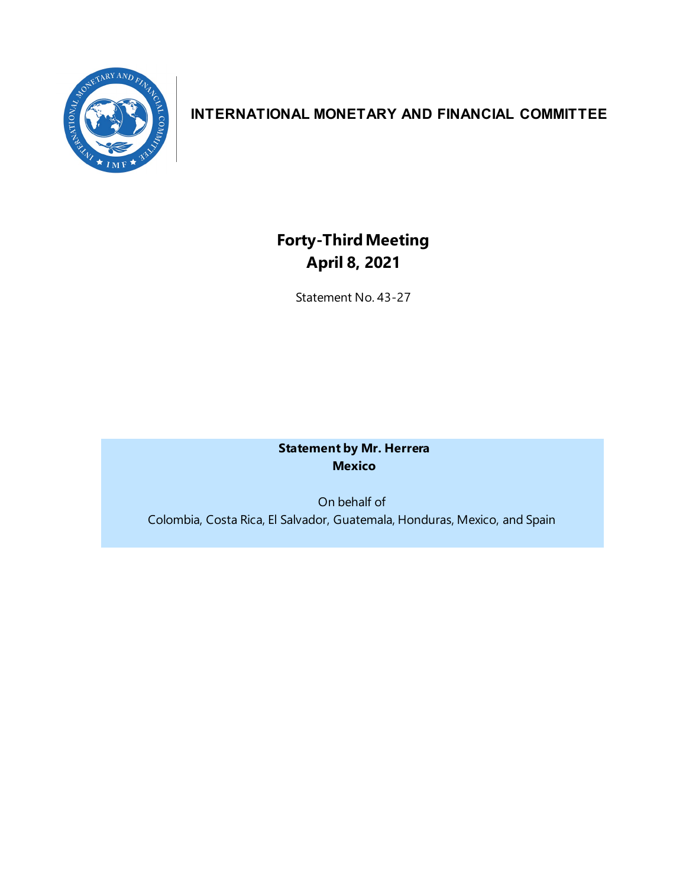

## **INTERNATIONAL MONETARY AND FINANCIAL COMMITTEE**

# **Forty-ThirdMeeting April 8, 2021**

Statement No. 43-27

**Statement by Mr. Herrera Mexico**

On behalf of Colombia, Costa Rica, El Salvador, Guatemala, Honduras, Mexico, and Spain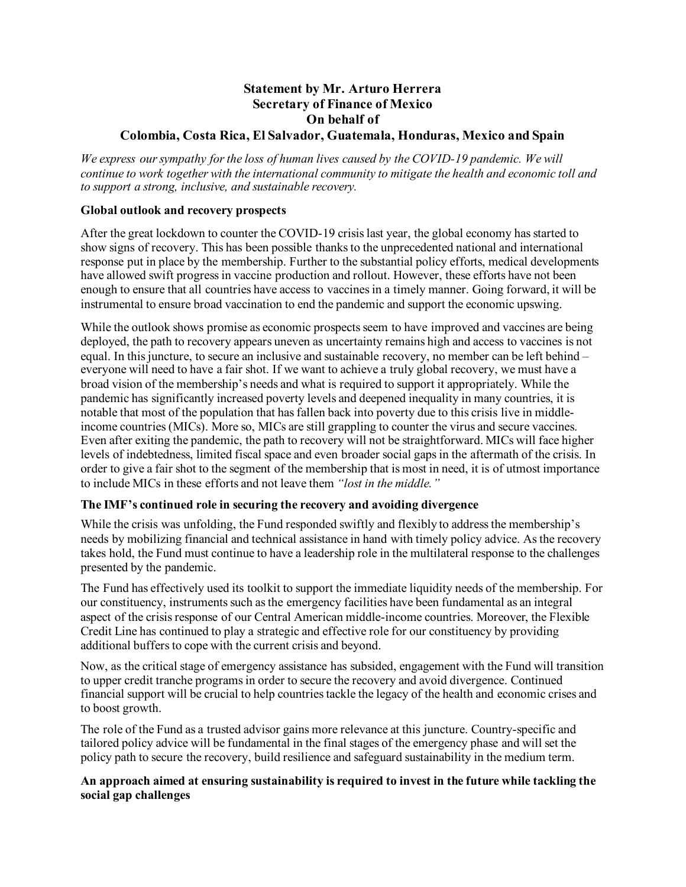### **Statement by Mr. Arturo Herrera Secretary of Finance of Mexico On behalf of**

#### **Colombia, Costa Rica, El Salvador, Guatemala, Honduras, Mexico and Spain**

*We express our sympathy for the loss of human lives caused by the COVID-19 pandemic. We will continue to work together with the international community to mitigate the health and economic toll and to support a strong, inclusive, and sustainable recovery.* 

#### **Global outlook and recovery prospects**

After the great lockdown to counter the COVID-19 crisislast year, the global economy has started to show signs of recovery. This has been possible thanksto the unprecedented national and international response put in place by the membership. Further to the substantial policy efforts, medical developments have allowed swift progress in vaccine production and rollout. However, these efforts have not been enough to ensure that all countries have access to vaccines in a timely manner. Going forward, it will be instrumental to ensure broad vaccination to end the pandemic and support the economic upswing.

While the outlook shows promise as economic prospects seem to have improved and vaccines are being deployed, the path to recovery appears uneven as uncertainty remains high and access to vaccines is not equal. In this juncture, to secure an inclusive and sustainable recovery, no member can be left behind – everyone will need to have a fair shot. If we want to achieve a truly global recovery, we must have a broad vision of the membership's needs and what is required to support it appropriately. While the pandemic has significantly increased poverty levels and deepened inequality in many countries, it is notable that most of the population that has fallen back into poverty due to this crisis live in middleincome countries (MICs). More so, MICs are still grappling to counter the virus and secure vaccines. Even after exiting the pandemic, the path to recovery will not be straightforward. MICs will face higher levels of indebtedness, limited fiscal space and even broader social gapsin the aftermath of the crisis. In order to give a fair shot to the segment of the membership that is most in need, it is of utmost importance to include MICs in these efforts and not leave them *"lost in the middle."*

#### **The IMF's continued role in securing the recovery and avoiding divergence**

While the crisis was unfolding, the Fund responded swiftly and flexibly to address the membership's needs by mobilizing financial and technical assistance in hand with timely policy advice. As the recovery takes hold, the Fund must continue to have a leadership role in the multilateral response to the challenges presented by the pandemic.

The Fund has effectively used its toolkit to support the immediate liquidity needs of the membership. For our constituency, instruments such as the emergency facilities have been fundamental as an integral aspect of the crisis response of our Central American middle-income countries. Moreover, the Flexible Credit Line has continued to play a strategic and effective role for our constituency by providing additional buffers to cope with the current crisis and beyond.

Now, as the critical stage of emergency assistance has subsided, engagement with the Fund will transition to upper credit tranche programs in order to secure the recovery and avoid divergence. Continued financial support will be crucial to help countries tackle the legacy of the health and economic crises and to boost growth.

The role of the Fund as a trusted advisor gains more relevance at this juncture. Country-specific and tailored policy advice will be fundamental in the final stages of the emergency phase and will set the policy path to secure the recovery, build resilience and safeguard sustainability in the medium term.

#### **An approach aimed at ensuring sustainability is required to invest in the future while tackling the social gap challenges**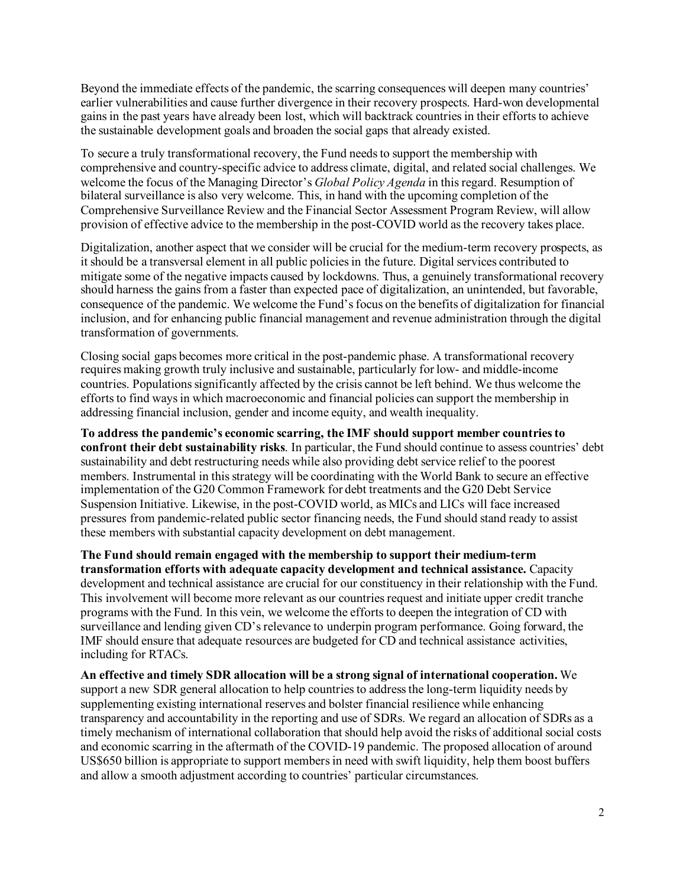Beyond the immediate effects of the pandemic, the scarring consequences will deepen many countries' earlier vulnerabilities and cause further divergence in their recovery prospects. Hard-won developmental gains in the past years have already been lost, which will backtrack countries in their efforts to achieve the sustainable development goals and broaden the social gaps that already existed.

To secure a truly transformational recovery, the Fund needs to support the membership with comprehensive and country-specific advice to address climate, digital, and related social challenges. We welcome the focus of the Managing Director's *Global Policy Agenda* in this regard. Resumption of bilateral surveillance is also very welcome. This, in hand with the upcoming completion of the Comprehensive Surveillance Review and the Financial Sector Assessment Program Review, will allow provision of effective advice to the membership in the post-COVID world as the recovery takes place.

Digitalization, another aspect that we consider will be crucial for the medium-term recovery prospects, as it should be a transversal element in all public policies in the future. Digital services contributed to mitigate some of the negative impacts caused by lockdowns. Thus, a genuinely transformational recovery should harness the gains from a faster than expected pace of digitalization, an unintended, but favorable, consequence of the pandemic. We welcome the Fund's focus on the benefits of digitalization for financial inclusion, and for enhancing public financial management and revenue administration through the digital transformation of governments.

Closing social gaps becomes more critical in the post-pandemic phase. A transformational recovery requires making growth truly inclusive and sustainable, particularly for low- and middle-income countries. Populations significantly affected by the crisis cannot be left behind. We thus welcome the efforts to find ways in which macroeconomic and financial policies can support the membership in addressing financial inclusion, gender and income equity, and wealth inequality.

**To address the pandemic's economic scarring, the IMF should support member countries to confront their debt sustainability risks**. In particular, the Fund should continue to assess countries' debt sustainability and debt restructuring needs while also providing debt service relief to the poorest members. Instrumental in this strategy will be coordinating with the World Bank to secure an effective implementation of the G20 Common Framework for debt treatments and the G20 Debt Service Suspension Initiative. Likewise, in the post-COVID world, as MICs and LICs will face increased pressures from pandemic-related public sector financing needs, the Fund should stand ready to assist these members with substantial capacity development on debt management.

**The Fund should remain engaged with the membership to support their medium-term transformation efforts with adequate capacity development and technical assistance.** Capacity development and technical assistance are crucial for our constituency in their relationship with the Fund. This involvement will become more relevant as our countries request and initiate upper credit tranche programs with the Fund. In this vein, we welcome the efforts to deepen the integration of CD with surveillance and lending given CD'srelevance to underpin program performance. Going forward, the IMF should ensure that adequate resources are budgeted for CD and technical assistance activities, including for RTACs.

**An effective and timely SDR allocation will be a strong signal of international cooperation.** We support a new SDR general allocation to help countries to address the long-term liquidity needs by supplementing existing international reserves and bolster financial resilience while enhancing transparency and accountability in the reporting and use of SDRs. We regard an allocation of SDRs as a timely mechanism of international collaboration that should help avoid the risks of additional social costs and economic scarring in the aftermath of the COVID-19 pandemic. The proposed allocation of around US\$650 billion is appropriate to support members in need with swift liquidity, help them boost buffers and allow a smooth adjustment according to countries' particular circumstances.